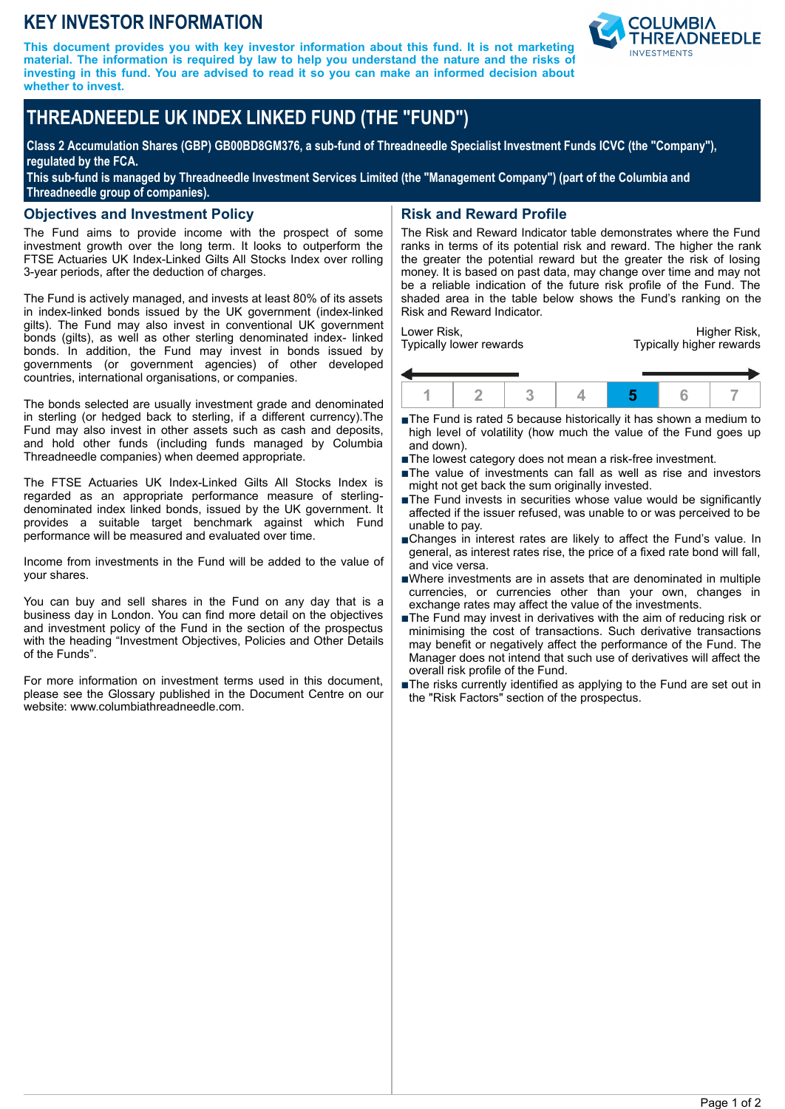## **KEY INVESTOR INFORMATION**

**This document provides you with key investor information about this fund. It is not marketing material. The information is required by law to help you understand the nature and the risks of investing in this fund. You are advised to read it so you can make an informed decision about whether to invest.**



# **THREADNEEDLE UK INDEX LINKED FUND (THE "FUND")**

**Class 2 Accumulation Shares (GBP) GB00BD8GM376, a sub-fund of Threadneedle Specialist Investment Funds ICVC (the "Company"), regulated by the FCA.**

**This sub-fund is managed by Threadneedle Investment Services Limited (the "Management Company") (part of the Columbia and Threadneedle group of companies).**

#### **Objectives and Investment Policy**

The Fund aims to provide income with the prospect of some investment growth over the long term. It looks to outperform the FTSE Actuaries UK Index-Linked Gilts All Stocks Index over rolling 3-year periods, after the deduction of charges.

The Fund is actively managed, and invests at least 80% of its assets in index-linked bonds issued by the UK government (index-linked gilts). The Fund may also invest in conventional UK government bonds (gilts), as well as other sterling denominated index- linked bonds. In addition, the Fund may invest in bonds issued by governments (or government agencies) of other developed countries, international organisations, or companies.

The bonds selected are usually investment grade and denominated in sterling (or hedged back to sterling, if a different currency).The Fund may also invest in other assets such as cash and deposits, and hold other funds (including funds managed by Columbia Threadneedle companies) when deemed appropriate.

The FTSE Actuaries UK Index-Linked Gilts All Stocks Index is regarded as an appropriate performance measure of sterlingdenominated index linked bonds, issued by the UK government. It provides a suitable target benchmark against which Fund performance will be measured and evaluated over time.

Income from investments in the Fund will be added to the value of your shares.

You can buy and sell shares in the Fund on any day that is a business day in London. You can find more detail on the objectives and investment policy of the Fund in the section of the prospectus with the heading "Investment Objectives, Policies and Other Details of the Funds".

For more information on investment terms used in this document, please see the Glossary published in the Document Centre on our website: www.columbiathreadneedle.com.

## **Risk and Reward Profile**

The Risk and Reward Indicator table demonstrates where the Fund ranks in terms of its potential risk and reward. The higher the rank the greater the potential reward but the greater the risk of losing money. It is based on past data, may change over time and may not be a reliable indication of the future risk profile of the Fund. The shaded area in the table below shows the Fund's ranking on the Risk and Reward Indicator.

Lower Risk, Typically lower rewards

Higher Risk, Typically higher rewards



- ■The Fund is rated 5 because historically it has shown a medium to high level of volatility (how much the value of the Fund goes up and down).
- The lowest category does not mean a risk-free investment.
- The value of investments can fall as well as rise and investors might not get back the sum originally invested.
- $\blacksquare$ The Fund invests in securities whose value would be significantly affected if the issuer refused, was unable to or was perceived to be unable to pay.
- nChanges in interest rates are likely to affect the Fund's value. In general, as interest rates rise, the price of a fixed rate bond will fall, and vice versa.
- nWhere investments are in assets that are denominated in multiple currencies, or currencies other than your own, changes in exchange rates may affect the value of the investments.
- The Fund may invest in derivatives with the aim of reducing risk or minimising the cost of transactions. Such derivative transactions may benefit or negatively affect the performance of the Fund. The Manager does not intend that such use of derivatives will affect the overall risk profile of the Fund.
- The risks currently identified as applying to the Fund are set out in the "Risk Factors" section of the prospectus.